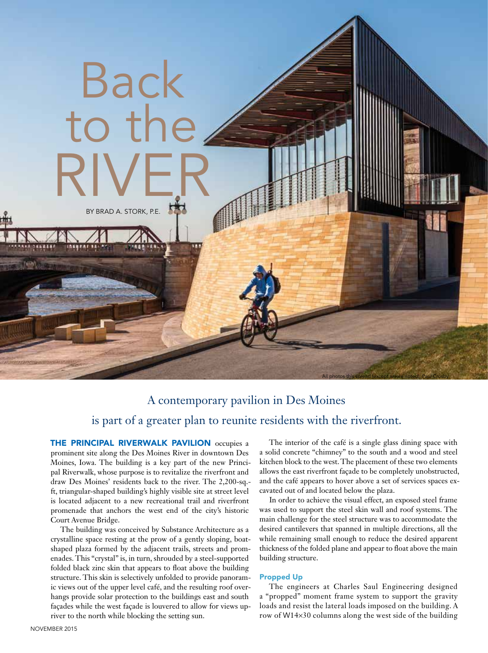

# A contemporary pavilion in Des Moines is part of a greater plan to reunite residents with the riverfront.

THE PRINCIPAL RIVERWALK PAVILION occupies a prominent site along the Des Moines River in downtown Des Moines, Iowa. The building is a key part of the new Principal Riverwalk, whose purpose is to revitalize the riverfront and draw Des Moines' residents back to the river. The 2,200-sq. ft, triangular-shaped building's highly visible site at street level is located adjacent to a new recreational trail and riverfront promenade that anchors the west end of the city's historic Court Avenue Bridge.

The building was conceived by Substance Architecture as a crystalline space resting at the prow of a gently sloping, boatshaped plaza formed by the adjacent trails, streets and promenades. This "crystal" is, in turn, shrouded by a steel-supported folded black zinc skin that appears to float above the building structure. This skin is selectively unfolded to provide panoramic views out of the upper level café, and the resulting roof overhangs provide solar protection to the buildings east and south façades while the west façade is louvered to allow for views upriver to the north while blocking the setting sun.

The interior of the café is a single glass dining space with a solid concrete "chimney" to the south and a wood and steel kitchen block to the west. The placement of these two elements allows the east riverfront façade to be completely unobstructed, and the café appears to hover above a set of services spaces excavated out of and located below the plaza.

In order to achieve the visual effect, an exposed steel frame was used to support the steel skin wall and roof systems. The main challenge for the steel structure was to accommodate the desired cantilevers that spanned in multiple directions, all the while remaining small enough to reduce the desired apparent thickness of the folded plane and appear to float above the main building structure.

#### Propped Up

The engineers at Charles Saul Engineering designed a "propped" moment frame system to support the gravity loads and resist the lateral loads imposed on the building. A row of W14×30 columns along the west side of the building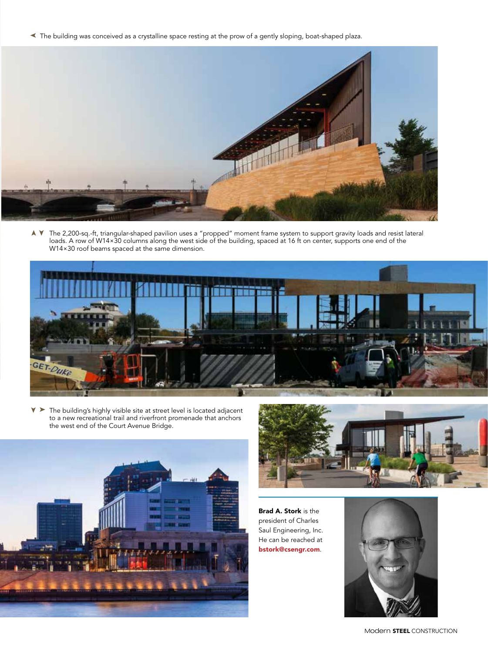➤ The building was conceived as a crystalline space resting at the prow of a gently sloping, boat-shaped plaza.



➤ ➤ The 2,200-sq.-ft, triangular-shaped pavilion uses a "propped" moment frame system to support gravity loads and resist lateral loads. A row of W14×30 columns along the west side of the building, spaced at 16 ft on center, supports one end of the W14×30 roof beams spaced at the same dimension.



➤ ➤ The building's highly visible site at street level is located adjacent to a new recreational trail and riverfront promenade that anchors the west end of the Court Avenue Bridge.





Brad A. Stork is the president of Charles Saul Engineering, Inc. He can be reached at bstork@csengr.com.



Modern STEEL CONSTRUCTION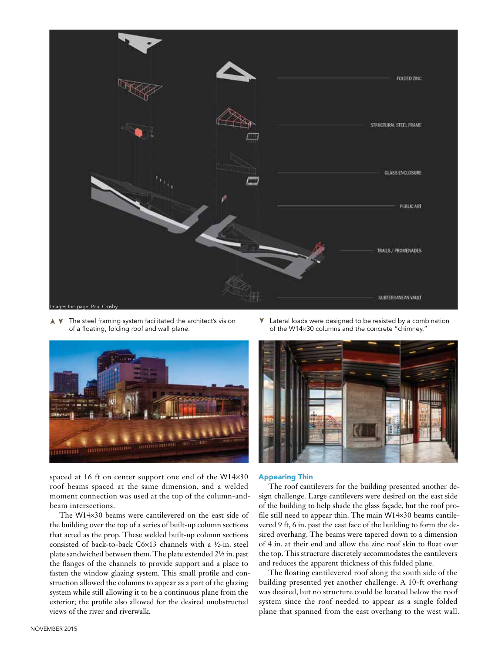

➤➤ The steel framing system facilitated the architect's vision of a floating, folding roof and wall plane.



spaced at 16 ft on center support one end of the W14×30 roof beams spaced at the same dimension, and a welded moment connection was used at the top of the column-andbeam intersections.

The W14×30 beams were cantilevered on the east side of the building over the top of a series of built-up column sections that acted as the prop. These welded built-up column sections consisted of back-to-back C6×13 channels with a ½-in. steel plate sandwiched between them. The plate extended 2½ in. past the flanges of the channels to provide support and a place to fasten the window glazing system. This small profile and construction allowed the columns to appear as a part of the glazing system while still allowing it to be a continuous plane from the exterior; the profile also allowed for the desired unobstructed views of the river and riverwalk.

Lateral loads were designed to be resisted by a combination of the W14×30 columns and the concrete "chimney." ➤



#### Appearing Thin

The roof cantilevers for the building presented another design challenge. Large cantilevers were desired on the east side of the building to help shade the glass façade, but the roof profile still need to appear thin. The main W14×30 beams cantilevered 9 ft, 6 in. past the east face of the building to form the desired overhang. The beams were tapered down to a dimension of 4 in. at their end and allow the zinc roof skin to float over the top. This structure discretely accommodates the cantilevers and reduces the apparent thickness of this folded plane.

The floating cantilevered roof along the south side of the building presented yet another challenge. A 10-ft overhang was desired, but no structure could be located below the roof system since the roof needed to appear as a single folded plane that spanned from the east overhang to the west wall.